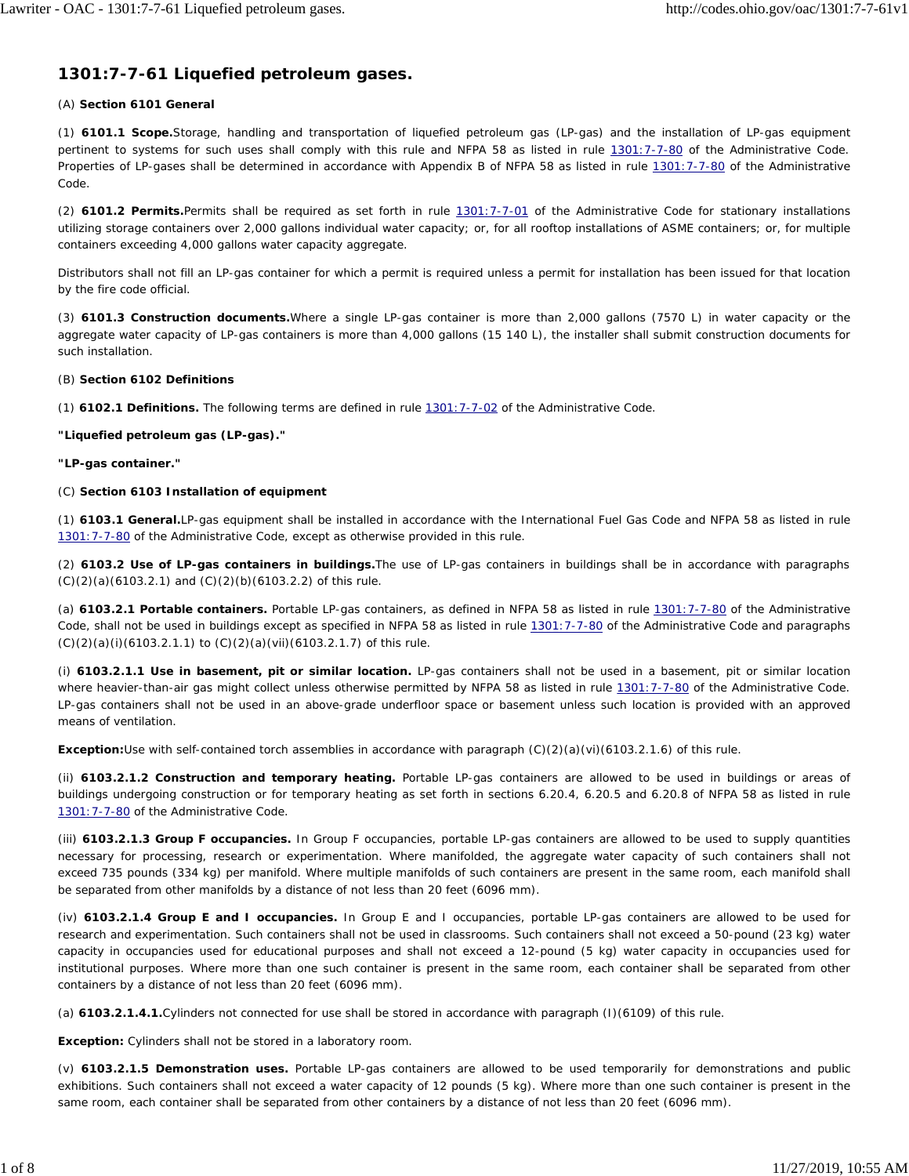# **1301:7-7-61 Liquefied petroleum gases.**

# (A) **Section 6101 General**

(1) **6101.1 Scope.**Storage, handling and transportation of liquefied petroleum gas (LP-gas) and the installation of LP-gas equipment pertinent to systems for such uses shall comply with this *rule* and NFPA 58 *as listed in rule 1301:7-7-80 of the Administrative Code.* Properties of LP-gases shall be determined in accordance with Appendix B of NFPA 58 *as listed in rule 1301:7-7-80 of the Administrative Code.*

(2) **6101.2 Permits.**Permits shall be required as set forth in *rule 1301:7-7-01 of the Administrative Code for stationary installations utilizing storage containers over 2,000 gallons individual water capacity; or, for all rooftop installations of ASME containers; or, for multiple containers exceeding 4,000 gallons water capacity aggregate.*

Distributors shall not fill an LP-gas container for which a permit is required unless a permit for installation has been issued for that location by the fire code official.

(3) **6101.3 Construction documents.**Where a single LP-gas container is more than 2,000 gallons (7570 L) in water capacity or the aggregate water capacity of LP-gas containers is more than 4,000 gallons (15 140 L), the installer shall submit construction documents for such installation.

# (B) **Section 6102 Definitions**

(1) **6102.1 Definitions.** The following terms are defined in *rule 1301:7-7-02 of the Administrative Code.*

# **"Liquefied petroleum gas (LP-gas)."**

**"LP-gas container."**

# (C) **Section 6103 Installation of equipment**

(1) **6103.1 General.**LP-gas equipment shall be installed in accordance with the International Fuel Gas Code and NFPA 58 *as listed in rule 1301:7-7-80 of the Administrative Code,* except as otherwise provided in this *rule.*

(2) **6103.2 Use of LP-gas containers in buildings.**The use of LP-gas containers in buildings shall be in accordance with *paragraphs* (C)(2)(a)(6103.2.1) and (C)(2)(b)(6103.2.2) *of this rule.*

(a) **6103.2.1 Portable containers.** Portable LP-gas containers, as defined in NFPA 58 *as listed in rule 1301:7-7-80 of the Administrative Code,* shall not be used in buildings except as specified in NFPA 58 *as listed in rule 1301:7-7-80 of the Administrative Code* and *paragraphs* (C)(2)(a)(i)(6103.2.1.1) *to* (C)(2)(a)(vii)(6103.2.1.7) *of this rule.*

(i) **6103.2.1.1 Use in basement, pit or similar location.** LP-gas containers shall not be used in a basement, pit or similar location where heavier-than-air gas might collect *unless otherwise permitted by NFPA 58 as listed in rule 1301:7-7-80 of the Administrative Code.* LP-gas containers shall not be used in an above-grade underfloor space or basement unless such location is provided with an approved means of ventilation.

**Exception:**Use with self-contained torch assemblies in accordance with *paragraph* (C)(2)(a)(vi)(6103.2.1.6) *of this rule.*

(ii) **6103.2.1.2 Construction and temporary heating.** Portable LP-gas containers are allowed to be used in buildings or areas of buildings undergoing construction or for temporary heating as set forth in sections 6.20.4, 6.20.5 and 6.20.8 of NFPA 58 *as listed in rule 1301:7-7-80 of the Administrative Code.*

(iii) **6103.2.1.3 Group F occupancies.** In Group F occupancies, portable LP-gas containers are allowed to be used to supply quantities necessary for processing, research or experimentation. Where manifolded, the aggregate water capacity of such containers shall not exceed 735 pounds (334 kg) per manifold. Where multiple manifolds of such containers are present in the same room, each manifold shall be separated from other manifolds by a distance of not less than 20 feet (6096 mm).

(iv) **6103.2.1.4 Group E and I occupancies.** In Group E and I occupancies, portable LP-gas containers are allowed to be used for research and experimentation. Such containers shall not be used in classrooms. Such containers shall not exceed a 50-pound (23 kg) water capacity in occupancies used for educational purposes and shall not exceed a 12-pound (5 kg) water capacity in occupancies used for institutional purposes. Where more than one such container is present in the same room, each container shall be separated from other containers by a distance of not less than 20 feet (6096 mm).

(a) *6103.2.1.4.1.Cylinders not connected for use shall be stored in accordance with paragraph (I)(6109) of this rule.*

*Exception: Cylinders shall not be stored in a laboratory room.*

(v) **6103.2.1.5 Demonstration uses.** Portable LP-gas containers are allowed to be used temporarily for demonstrations and public exhibitions. Such containers shall not exceed a water capacity of 12 pounds (5 kg). Where more than one such container is present in the same room, each container shall be separated from other containers by a distance of not less than 20 feet (6096 mm).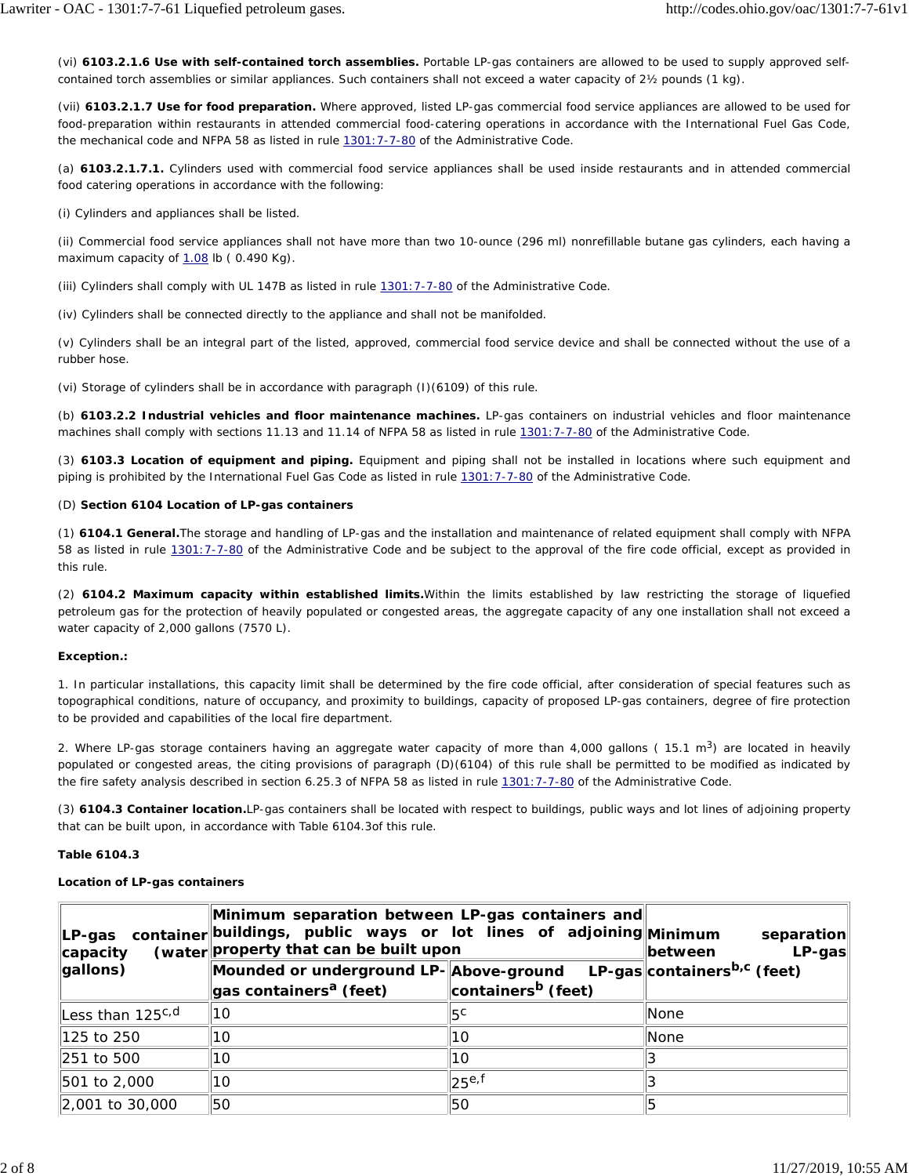(vi) **6103.2.1.6 Use with self-contained torch assemblies.** Portable LP-gas containers are allowed to be used to supply approved selfcontained torch assemblies or similar appliances. Such containers shall not exceed a water capacity of 2½ pounds (1 kg).

(vii) **6103.2.1.7 Use for food preparation.** Where approved, listed LP-gas commercial food service appliances are allowed to be used for food-preparation within restaurants in attended commercial food-catering operations in accordance with the International Fuel Gas Code, the *mechanical code* and NFPA 58 *as listed in rule 1301:7-7-80 of the Administrative Code.*

(a) *6103.2.1.7.1. Cylinders used with commercial food service appliances shall be used inside restaurants and in attended commercial food catering operations in accordance with the following:*

(i) *Cylinders and appliances shall be listed.*

(ii) *Commercial food service appliances shall not have more than two 10-ounce (296 ml) nonrefillable butane gas cylinders, each having a maximum capacity of 1.08 lb ( 0.490 Kg).*

(iii) *Cylinders shall comply with UL 147B as listed in rule 1301:7-7-80 of the Administrative Code.*

(iv) *Cylinders shall be connected directly to the appliance and shall not be manifolded.*

(v) *Cylinders shall be an integral part of the listed, approved, commercial food service device and shall be connected without the use of a rubber hose.*

(vi) *Storage of cylinders shall be in accordance with paragraph (I)(6109) of this rule.*

(b) **6103.2.2 Industrial vehicles and floor maintenance machines.** LP-gas containers on industrial vehicles and floor maintenance machines shall comply with sections 11.13 and 11.14 of NFPA 58 *as listed in rule 1301:7-7-80 of the Administrative Code.*

(3) **6103.3 Location of equipment and piping.** Equipment and piping shall not be installed in locations where such equipment and piping is prohibited by the International Fuel Gas Code *as listed in rule 1301:7-7-80 of the Administrative Code.*

# (D) **Section 6104 Location of LP-gas containers**

(1) **6104.1 General.**The storage and handling of LP-gas and the installation and maintenance of related equipment shall comply with NFPA 58 *as listed in rule 1301:7-7-80 of the Administrative Code* and be subject to the approval of the fire code official, except as provided in this *rule.*

(2) **6104.2 Maximum capacity within established limits.**Within the limits established by law restricting the storage of liquefied petroleum gas for the protection of heavily populated or congested areas, the aggregate capacity of any one installation shall not exceed a water capacity of 2,000 gallons (7570 L).

# **Exception.:**

1. In particular installations, this capacity limit shall be determined by the fire code official, after consideration of special features such as topographical conditions, nature of occupancy, and proximity to buildings, capacity of proposed LP-gas containers, degree of fire protection to be provided and capabilities of the local fire department.

2. *Where LP-gas storage containers having an aggregate water capacity of more than 4,000 gallons ( 15.1 m3) are located in heavily populated or congested areas, the citing provisions of paragraph (D)(6104) of this rule shall be permitted to be modified as indicated by the fire safety analysis described in section 6.25.3 of NFPA 58 as listed in rule 1301:7-7-80 of the Administrative Code.*

(3) **6104.3 Container location.**LP-gas containers shall be located with respect to buildings, public ways and lot lines of adjoining property that can be built upon, in accordance with Table 6104.3*of this rule.*

# **Table 6104.3**

# **Location of LP-gas containers**

| ∣LP-gas<br>capacity   | Minimum separation between LP-gas containers and<br>container buildings, public ways or lot lines of adjoining Minimum<br>(water property that can be built upon | separation<br>$LP-gas$<br><b>between</b> |                                         |
|-----------------------|------------------------------------------------------------------------------------------------------------------------------------------------------------------|------------------------------------------|-----------------------------------------|
| gallons)              | Mounded or underground LP-Above-ground<br>gas containers <sup>a</sup> (feet)                                                                                     | containers <sup>b</sup> (feet)           | LP-gas containers <sup>b,c</sup> (feet) |
| Less than $125^{c,d}$ | 10                                                                                                                                                               | 15 <sup>c</sup>                          | <b>None</b>                             |
| 125 to 250            | 10                                                                                                                                                               | 10                                       | <b>None</b>                             |
| 251 to 500            | 10                                                                                                                                                               | 10                                       |                                         |
| 501 to 2,000          | 10                                                                                                                                                               | 25e <sub>5</sub>                         |                                         |
| 2,001 to 30,000       | 50                                                                                                                                                               | l50                                      |                                         |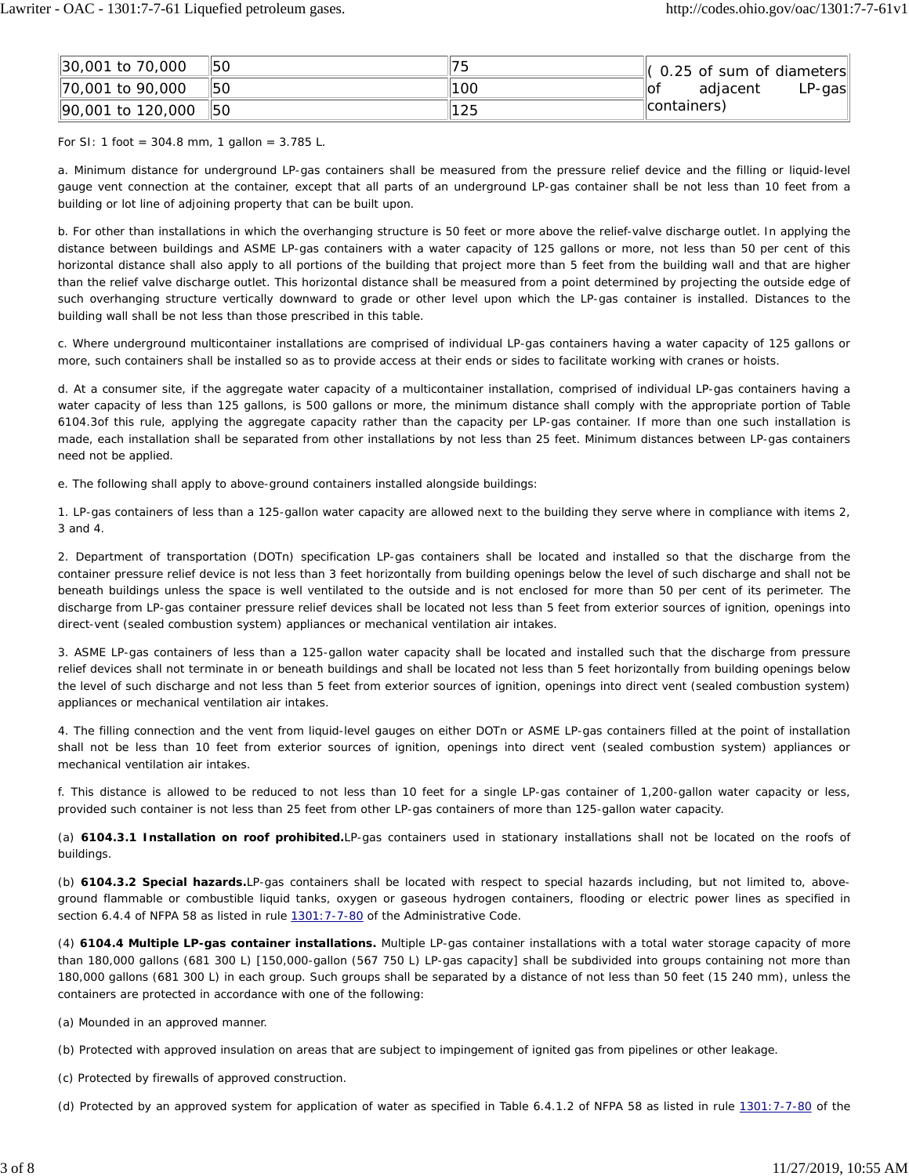| 30,001 to 70,000         | 150 | 75   | $\left\Vert$ (0.25 of sum of diameters $\right\Vert$ |
|--------------------------|-----|------|------------------------------------------------------|
| $\vert$ 70,001 to 90,000 | 150 | 1100 | adiacent<br>$LP$ -gas<br>∥of                         |
| 90,001 to 120,000        | 150 | 125  | (containers)                                         |

For SI: 1 foot =  $304.8$  mm, 1 gallon =  $3.785$  L.

a. Minimum distance for underground LP-gas containers shall be measured from the pressure relief device and the filling or liquid-level gauge vent connection at the container, except that all parts of an underground LP-gas container shall be not less than 10 feet from a building or lot line of adjoining property that can be built upon.

b. For other than installations in which the overhanging structure is 50 feet or more above the relief-valve discharge outlet. In applying the distance between buildings and ASME LP-gas containers with a water capacity of 125 gallons or more, not less than 50 *per cent* of this horizontal distance shall also apply to all portions of the building that project more than 5 feet from the building wall and that are higher than the relief valve discharge outlet. This horizontal distance shall be measured from a point determined by projecting the outside edge of such overhanging structure vertically downward to grade or other level upon which the LP-gas container is installed. Distances to the building wall shall be not less than those prescribed in this table.

c. Where underground multicontainer installations are comprised of individual LP-gas containers having a water capacity of 125 gallons or more, such containers shall be installed so as to provide access at their ends or sides to facilitate working with cranes or hoists.

d. At a consumer site, if the aggregate water capacity of a multicontainer installation, comprised of individual LP-gas containers having a water capacity of less than 125 gallons, is 500 gallons or more, the minimum distance shall comply with the appropriate portion of Table 6104.3*of this rule,* applying the aggregate capacity rather than the capacity per LP-gas container. If more than one such installation is made, each installation shall be separated from other installations by not less than 25 feet. Minimum distances between LP-gas containers need not be applied.

e. The following shall apply to above-ground containers installed alongside buildings:

1. LP-gas containers of less than a 125-gallon water capacity are allowed next to the building they serve where in compliance with items 2, 3 and 4.

2. Department of transportation (DOTn) specification LP-gas containers shall be located and installed so that the discharge from the container pressure relief device is not less than 3 feet horizontally from building openings below the level of such discharge and shall not be beneath buildings unless the space is well ventilated to the outside and is not enclosed for more than 50 *per cent* of its perimeter. The discharge from LP-gas container pressure relief devices shall be located not less than 5 feet from exterior sources of ignition, openings into direct-vent (sealed combustion system) appliances or mechanical ventilation air intakes.

3. ASME LP-gas containers of less than a 125-gallon water capacity shall be located and installed such that the discharge from pressure relief devices shall not terminate in or beneath buildings and shall be located not less than 5 feet horizontally from building openings below the level of such discharge and not less than 5 feet from exterior sources of ignition, openings into direct vent (sealed combustion system) appliances or mechanical ventilation air intakes.

4. The filling connection and the vent from liquid-level gauges on either DOTn or ASME LP-gas containers filled at the point of installation shall not be less than 10 feet from exterior sources of ignition, openings into direct vent (sealed combustion system) appliances or mechanical ventilation air intakes.

f. This distance is allowed to be reduced to not less than 10 feet for a single LP-gas container of 1,200-gallon water capacity or less, provided such container is not less than 25 feet from other LP-gas containers of more than 125-gallon water capacity.

(a) **6104.3.1 Installation on roof prohibited.**LP-gas containers used in stationary installations shall not be located on the roofs of buildings.

(b) **6104.3.2 Special hazards.**LP-gas containers shall be located with respect to special hazards including, but not limited to, aboveground flammable or combustible liquid tanks, oxygen or gaseous hydrogen containers, flooding or electric power lines as specified in section 6.4.4 of NFPA 58 *as listed in rule 1301:7-7-80 of the Administrative Code.*

(4) **6104.4 Multiple LP-gas container installations.** Multiple LP-gas container installations with a total water storage capacity of more than 180,000 gallons (681 300 L) [150,000-gallon (567 750 L) LP-gas capacity] shall be subdivided into groups containing not more than 180,000 gallons (681 300 L) in each group. Such groups shall be separated by a distance of not less than 50 feet (15 240 mm), unless the containers are protected in accordance with one of the following:

(a) Mounded in an approved manner.

(b) Protected with approved insulation on areas that are subject to impingement of ignited gas from pipelines or other leakage.

(c) Protected by firewalls of approved construction.

(d) Protected by an approved system for application of water as specified in Table 6.4.1.2 of NFPA 58 *as listed in rule 1301:7-7-80 of the*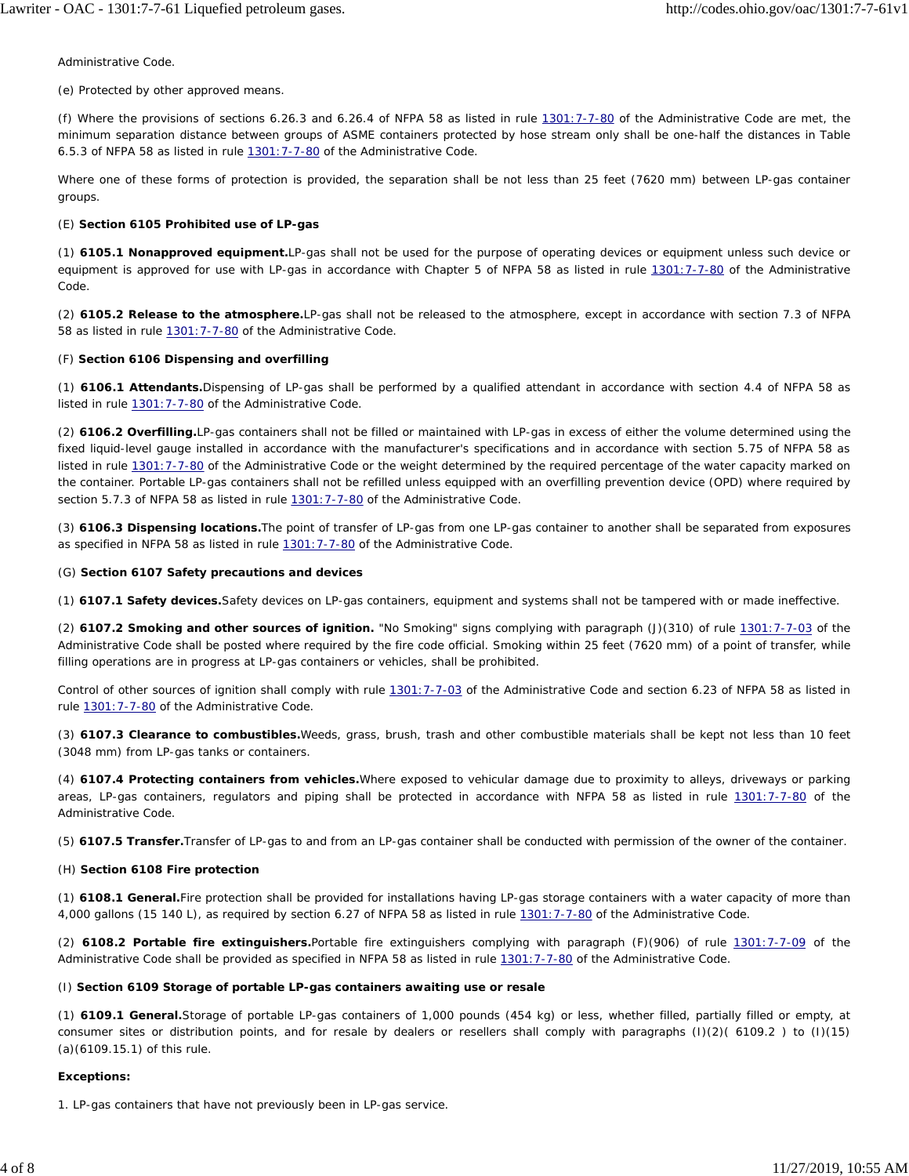*Administrative Code.*

(e) Protected by other approved means.

(f) *Where the provisions of sections 6.26.3 and 6.26.4 of NFPA 58 as listed in rule 1301:7-7-80 of the Administrative Code are met, the minimum separation distance between groups of ASME containers protected by hose stream only shall be one-half the distances in Table 6.5.3 of NFPA 58 as listed in rule 1301:7-7-80 of the Administrative Code.*

Where one of these forms of protection is provided, the separation shall be not less than 25 feet (7620 mm) between LP-gas container groups.

#### (E) **Section 6105 Prohibited use of LP-gas**

(1) **6105.1 Nonapproved equipment.**LP-gas shall not be used for the purpose of operating devices or equipment unless such device or equipment is approved for use with LP-gas *in accordance with Chapter 5 of NFPA 58 as listed in rule 1301:7-7-80 of the Administrative Code.*

(2) **6105.2 Release to the atmosphere.**LP-gas shall not be released to the atmosphere, except in accordance with section 7.3 of NFPA 58 *as listed in rule 1301:7-7-80 of the Administrative Code.*

#### (F) **Section 6106 Dispensing and overfilling**

(1) **6106.1 Attendants.**Dispensing of LP-gas shall be performed by a qualified attendant *in accordance with section 4.4 of NFPA 58 as listed in rule 1301:7-7-80 of the Administrative Code.*

(2) **6106.2 Overfilling.**LP-gas containers shall not be filled or maintained with LP-gas in excess of either the volume determined using the fixed liquid-level gauge installed in accordance with the manufacturer's specifications and in accordance with section 5.75 of NFPA 58 *as listed in rule 1301:7-7-80 of the Administrative Code* or the weight determined by the required percentage of the water capacity marked on the container. Portable LP-gas containers shall not be refilled unless equipped with an overfilling prevention device (OPD) where required by section 5.7.3 of NFPA 58 *as listed in rule 1301:7-7-80 of the Administrative Code.*

(3) **6106.3 Dispensing locations.**The point of transfer of LP-gas from one LP-gas container to another shall be separated from exposures as specified in NFPA 58 *as listed in rule 1301:7-7-80 of the Administrative Code.*

#### (G) **Section 6107 Safety precautions and devices**

(1) **6107.1 Safety devices.**Safety devices on LP-gas containers, equipment and systems shall not be tampered with or made ineffective.

(2) **6107.2 Smoking and other sources of ignition.** "No Smoking" signs complying with *paragraph* (J)(310) *of rule 1301:7-7-03 of the Administrative Code* shall be posted where required by the fire code official. Smoking within 25 feet (7620 mm) of a point of transfer, while filling operations are in progress at LP-gas containers or vehicles, shall be prohibited.

Control of other sources of ignition shall comply with *rule 1301:7-7-03 of the Administrative Code* and section 6.23 of NFPA 58 *as listed in rule 1301:7-7-80 of the Administrative Code.*

(3) **6107.3 Clearance to combustibles.**Weeds, grass, brush, trash and other combustible materials shall be kept not less than 10 feet (3048 mm) from LP-gas tanks or containers.

(4) **6107.4 Protecting containers from vehicles.**Where exposed to vehicular damage due to proximity to alleys, driveways or parking areas, LP-gas containers, regulators and piping shall be protected in accordance with NFPA 58 *as listed in rule 1301:7-7-80 of the Administrative Code.*

(5) *6107.5 Transfer.Transfer of LP-gas to and from an LP-gas container shall be conducted with permission of the owner of the container.*

# (H) **Section 6108 Fire protection**

(1) **6108.1 General.**Fire protection shall be provided for installations having LP-gas storage containers with a water capacity of more than 4,000 gallons (15 140 L), as required by section 6.27 of NFPA 58 *as listed in rule 1301:7-7-80 of the Administrative Code.*

(2) **6108.2 Portable fire extinguishers.**Portable fire extinguishers complying with *paragraph* (F)(906) *of rule 1301:7-7-09 of the Administrative Code* shall be provided as specified in NFPA 58 *as listed in rule 1301:7-7-80 of the Administrative Code.*

#### (I) **Section 6109 Storage of portable LP-gas containers awaiting use or resale**

(1) **6109.1 General.**Storage of portable LP-gas containers of 1,000 pounds (454 kg) or less, whether filled, partially filled or empty, at consumer sites or distribution points, and for resale by dealers or resellers shall comply with *paragraphs* (I)(2)( 6109.2 ) *to* (I)(15) (a)(6109.15.1) *of this rule.*

# **Exceptions:**

1. LP-gas containers that have not previously been in LP-gas service.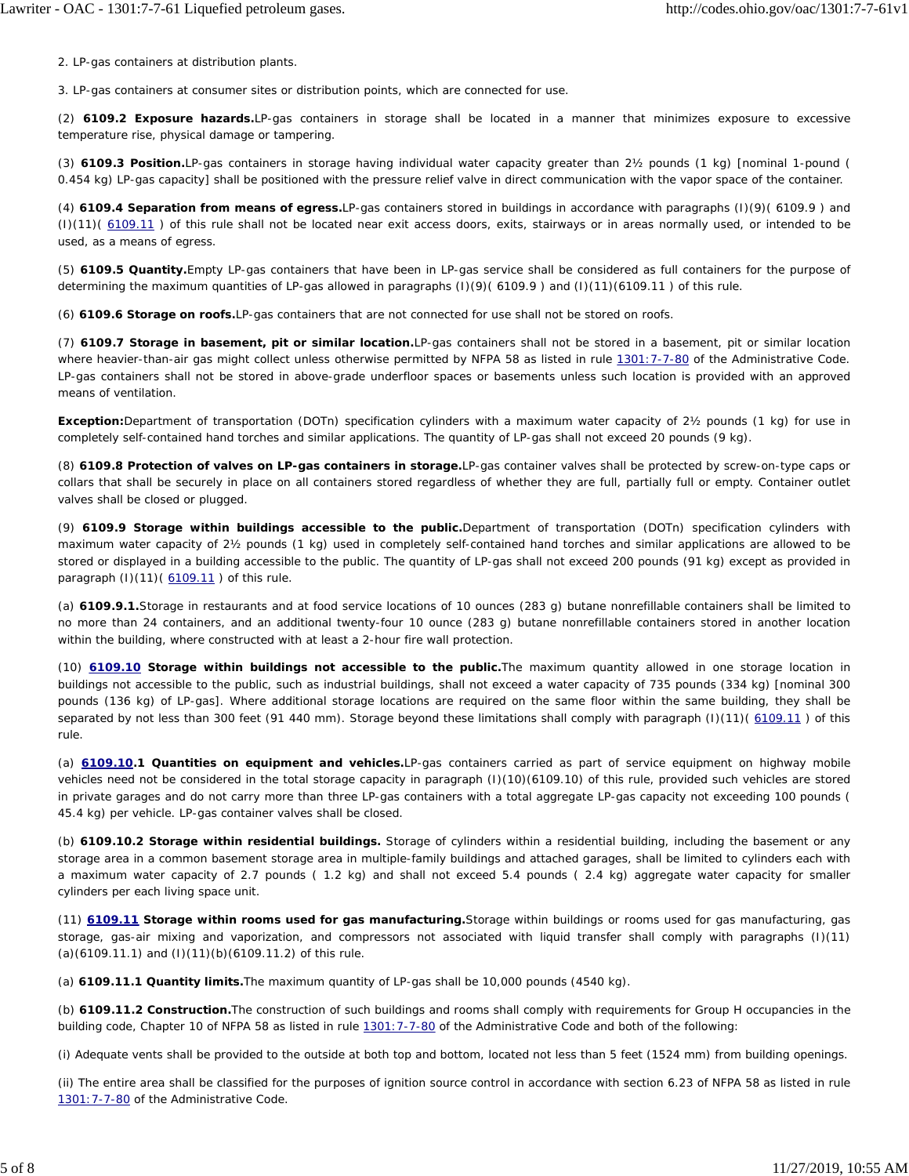2. LP-gas containers at distribution plants.

3. LP-gas containers at consumer sites or distribution points, which are connected for use.

(2) **6109.2 Exposure hazards.**LP-gas containers in storage shall be located in a manner that minimizes exposure to excessive temperature rise, physical damage or tampering.

(3) **6109.3 Position.**LP-gas containers in storage having individual water capacity greater than 2½ pounds (1 kg) [nominal 1-pound ( 0.454 kg) LP-gas capacity] shall be positioned with the pressure relief valve in direct communication with the vapor space of the container.

(4) **6109.4 Separation from means of egress.**LP-gas containers stored in buildings in accordance with *paragraphs* (I)(9)( 6109.9 ) and (I)(11)( 6109.11 ) *of this rule* shall not be located near exit access doors, exits, stairways or in areas normally used, or intended to be used, as a means of egress.

(5) **6109.5 Quantity.**Empty LP-gas containers that have been in LP-gas service shall be considered as full containers for the purpose of determining the maximum quantities of LP-gas allowed in *paragraphs* (I)(9)( 6109.9 ) and *(*I)(*11*)(61*09.11 ) of this rule.*

(6) **6109.6 Storage on roofs.**LP-gas containers that are not connected for use shall not be stored on roofs.

(7) **6109.7 Storage in basement, pit or similar location.**LP-gas containers shall not be stored in a basement, pit or similar location where heavier-than-air gas might collect *unless otherwise permitted by NFPA 58 as listed in rule 1301:7-7-80 of the Administrative Code.* LP-gas containers shall not be stored in above-grade underfloor spaces or basements unless such location is provided with an approved means of ventilation.

**Exception:**Department of transportation (DOTn) specification cylinders with a maximum water capacity of 2½ pounds (1 kg) for use in completely self-contained hand torches and similar applications. The quantity of LP-gas shall not exceed 20 pounds (9 kg).

(8) **6109.8 Protection of valves on LP-gas containers in storage.**LP-gas container valves shall be protected by screw-on-type caps or collars that shall be securely in place on all containers stored regardless of whether they are full, partially full or empty. Container outlet valves shall be closed or plugged.

(9) **6109.9 Storage within buildings accessible to the public.**Department of transportation (DOTn) specification cylinders with maximum water capacity of 2½ pounds (1 kg) used in completely self-contained hand torches and similar applications are allowed to be stored or displayed in a building accessible to the public. The quantity of LP-gas shall not exceed 200 pounds (91 kg) except as provided in *paragraph* (I)(11)( 6109.11 ) *of this rule.*

(a) *6109.9.1.Storage in restaurants and at food service locations of 10 ounces (283 g) butane nonrefillable containers shall be limited to no more than 24 containers, and an additional twenty-four 10 ounce (283 g) butane nonrefillable containers stored in another location within the building, where constructed with at least a 2-hour fire wall protection.*

(10) **6109.10 Storage within buildings not accessible to the public.**The maximum quantity allowed in one storage location in buildings not accessible to the public, such as industrial buildings, shall not exceed a water capacity of 735 pounds (334 kg) [nominal 300 pounds (136 kg) of LP-gas]. Where additional storage locations are required on the same floor within the same building, they shall be separated by not less than 300 feet (91 440 mm). Storage beyond these limitations shall comply with *paragraph* (I)(11)( 6109.11 ) *of this rule.*

(a) **6109.10.1 Quantities on equipment and vehicles.**LP-gas containers carried as part of service equipment on highway mobile vehicles need not be considered in the total storage capacity in *paragraph* (I)(10)(6109.10) *of this rule,* provided such vehicles are stored in private garages and do not carry more than three LP-gas containers with a total aggregate LP-gas capacity not exceeding 100 pounds ( 45.4 kg) per vehicle. LP-gas container valves shall be closed.

(b) *6109.10.2 Storage within residential buildings. Storage of cylinders within a residential building, including the basement or any storage area in a common basement storage area in multiple-family buildings and attached garages, shall be limited to cylinders each with a maximum water capacity of 2.7 pounds ( 1.2 kg) and shall not exceed 5.4 pounds ( 2.4 kg) aggregate water capacity for smaller cylinders per each living space unit.*

(11) **6109.11 Storage within rooms used for gas manufacturing.**Storage within buildings or rooms used for gas manufacturing, gas storage, gas-air mixing and vaporization, and compressors not associated with liquid transfer shall comply with *paragraphs* (I)(11) (a)(6109.11.1) and (I)(11)(b)(6109.11.2) *of this rule.*

(a) **6109.11.1 Quantity limits.**The maximum quantity of LP-gas shall be 10,000 pounds (4540 kg).

(b) **6109.11.2 Construction.**The construction of such buildings and rooms shall comply with requirements for Group H occupancies in the *building* code, Chapter 10 of NFPA 58 *as listed in rule 1301:7-7-80 of the Administrative Code* and both of the following:

(i) Adequate vents shall be provided to the outside at both top and bottom, located not less than 5 feet (1524 mm) from building openings.

(ii) The entire area shall be classified for the purposes of ignition source control in accordance with section 6.23 of NFPA 58 *as listed in rule 1301:7-7-80 of the Administrative Code.*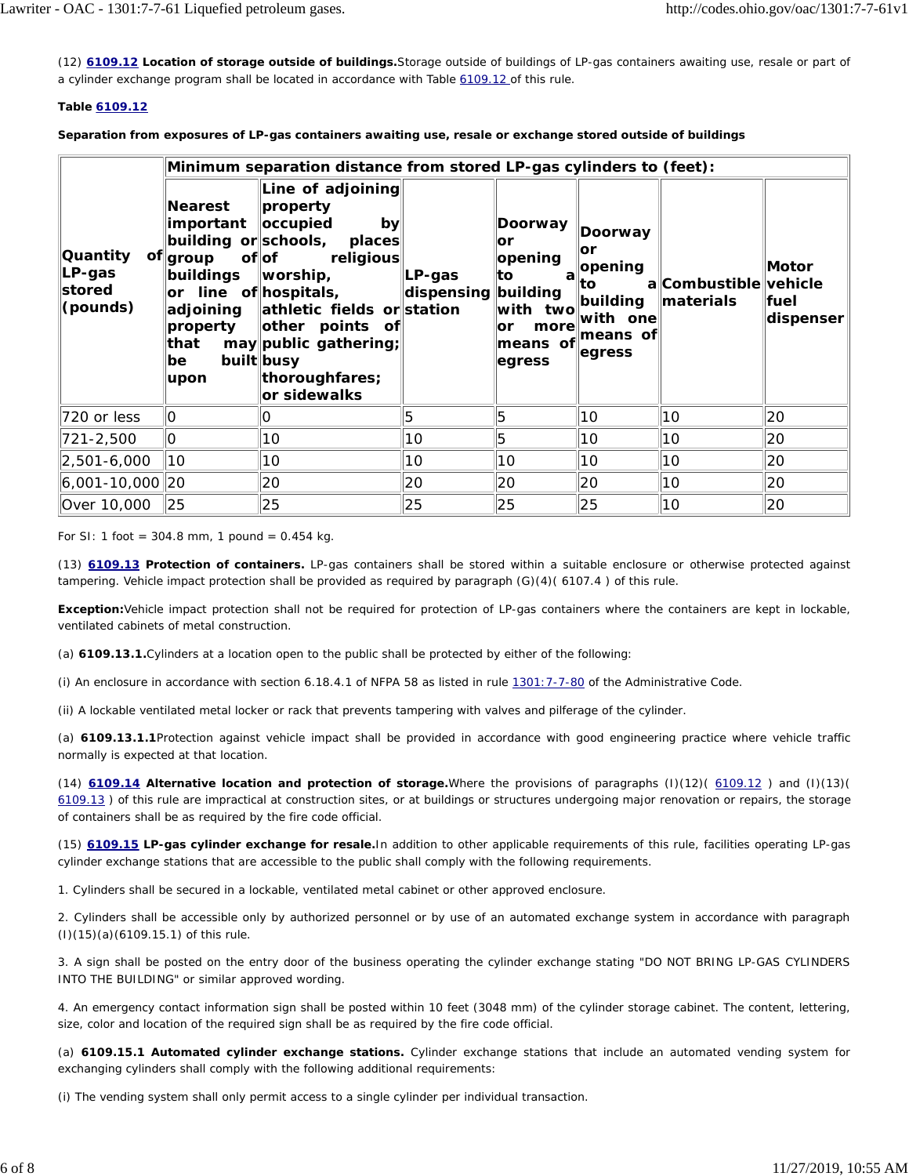(12) **6109.12 Location of storage outside of buildings.**Storage outside of buildings of LP-gas containers awaiting use, resale or part of a cylinder exchange program shall be located in accordance with Table 6109.12 *of this rule.*

# **Table 6109.12**

**Separation from exposures of LP-gas containers awaiting use, resale or exchange stored outside of buildings**

|                                                   | Minimum separation distance from stored LP-gas cylinders to (feet):                   |                                                                                                                                                                                                                                                                          |                               |                                                                                                                |                                                                       |                                         |                             |  |
|---------------------------------------------------|---------------------------------------------------------------------------------------|--------------------------------------------------------------------------------------------------------------------------------------------------------------------------------------------------------------------------------------------------------------------------|-------------------------------|----------------------------------------------------------------------------------------------------------------|-----------------------------------------------------------------------|-----------------------------------------|-----------------------------|--|
| <b>Quantity</b><br>$LP-gas$<br>stored<br>(pounds) | <b>Nearest</b><br>important   occupied<br>of∥group<br>buildings<br>that<br>be<br>upon | Line of adjoining<br>property<br>by<br>building or schools, places<br>of∣of<br>religious<br>$\parallel$ worship,<br>or line of hospitals,<br>adjoining athletic fields or station<br>property   other points of<br>may public gathering;<br>built busy<br>thoroughfares; | LP-gas<br>dispensing building | Doorway<br>lor<br>opening<br>∣to<br>with two<br>more<br>$\overline{\mathsf{I}}$<br>means of means of<br>egress | Doorway<br>∣or<br>a opening<br>lto⊦<br>building<br>with one<br>egress | a Combustible vehicle<br>$\ $ materials | Motor<br>∣fuel<br>dispenser |  |
|                                                   |                                                                                       | or sidewalks                                                                                                                                                                                                                                                             |                               |                                                                                                                |                                                                       |                                         |                             |  |
| 720 or less                                       | llo                                                                                   | O                                                                                                                                                                                                                                                                        | 5                             | 15                                                                                                             | 10                                                                    | 10                                      | 20                          |  |
| 721-2,500                                         | O                                                                                     | 10                                                                                                                                                                                                                                                                       | 10                            | 5                                                                                                              | 10                                                                    | 10                                      | 20                          |  |
| $ 2,501 - 6,000 $                                 | 10                                                                                    | 10                                                                                                                                                                                                                                                                       | 10                            | 10                                                                                                             | 10                                                                    | 10                                      | 20                          |  |
| $ 6,001 - 10,000 20$                              |                                                                                       | 20                                                                                                                                                                                                                                                                       | 20                            | 20                                                                                                             | 20                                                                    | 10                                      | 20                          |  |

For SI: 1 foot = 304.8 mm, 1 pound =  $0.454$  kg.

(13) **6109.13 Protection of containers.** LP-gas containers shall be stored within a suitable enclosure or otherwise protected against tampering. Vehicle impact protection shall be provided as required by *paragraph* (G)(4)( 6107.4 ) *of this rule.*

**Exception:**Vehicle impact protection shall not be required for protection of LP-gas containers where the containers are kept in lockable, ventilated cabinets of metal construction.

(a) *6109.13.1.Cylinders at a location open to the public shall be protected by either of the following:*

(i) *An enclosure in accordance with section 6.18.4.1 of NFPA 58 as listed in rule 1301:7-7-80 of the Administrative Code.*

(ii) *A lockable ventilated metal locker or rack that prevents tampering with valves and pilferage of the cylinder.*

(a) *6109.13.1.1Protection against vehicle impact shall be provided in accordance with good engineering practice where vehicle traffic normally is expected at that location.*

(14) **6109.14 Alternative location and protection of storage.**Where the provisions of *paragraphs* (I)(12)( 6109.12 ) and (I)(13)( 6109.13 ) *of this rule* are impractical at construction sites, or at buildings or structures undergoing major renovation or repairs, the storage of containers shall be as required by the fire code official.

(15) **6109.15 LP-gas cylinder exchange for resale.**In addition to other applicable requirements of this *rule,* facilities operating LP-gas cylinder exchange stations that are accessible to the public shall comply with the following requirements.

1. Cylinders shall be secured in a lockable, ventilated metal cabinet or other approved enclosure.

2. Cylinders shall be accessible only by authorized personnel or by use of an automated exchange system in accordance with *paragraph* (I)(15)(a)(6109.15.1) *of this rule.*

3. A sign shall be posted on the entry door of the business operating the cylinder exchange stating "DO NOT BRING LP-GAS CYLINDERS INTO THE BUILDING" or similar approved wording.

4. An emergency contact information sign shall be posted within 10 feet (3048 mm) of the cylinder storage cabinet. The content, lettering, size, color and location of the required sign shall be as required by the fire code official.

(a) **6109.15.1 Automated cylinder exchange stations.** Cylinder exchange stations that include an automated vending system for exchanging cylinders shall comply with the following additional requirements:

(i) The vending system shall only permit access to a single cylinder per individual transaction.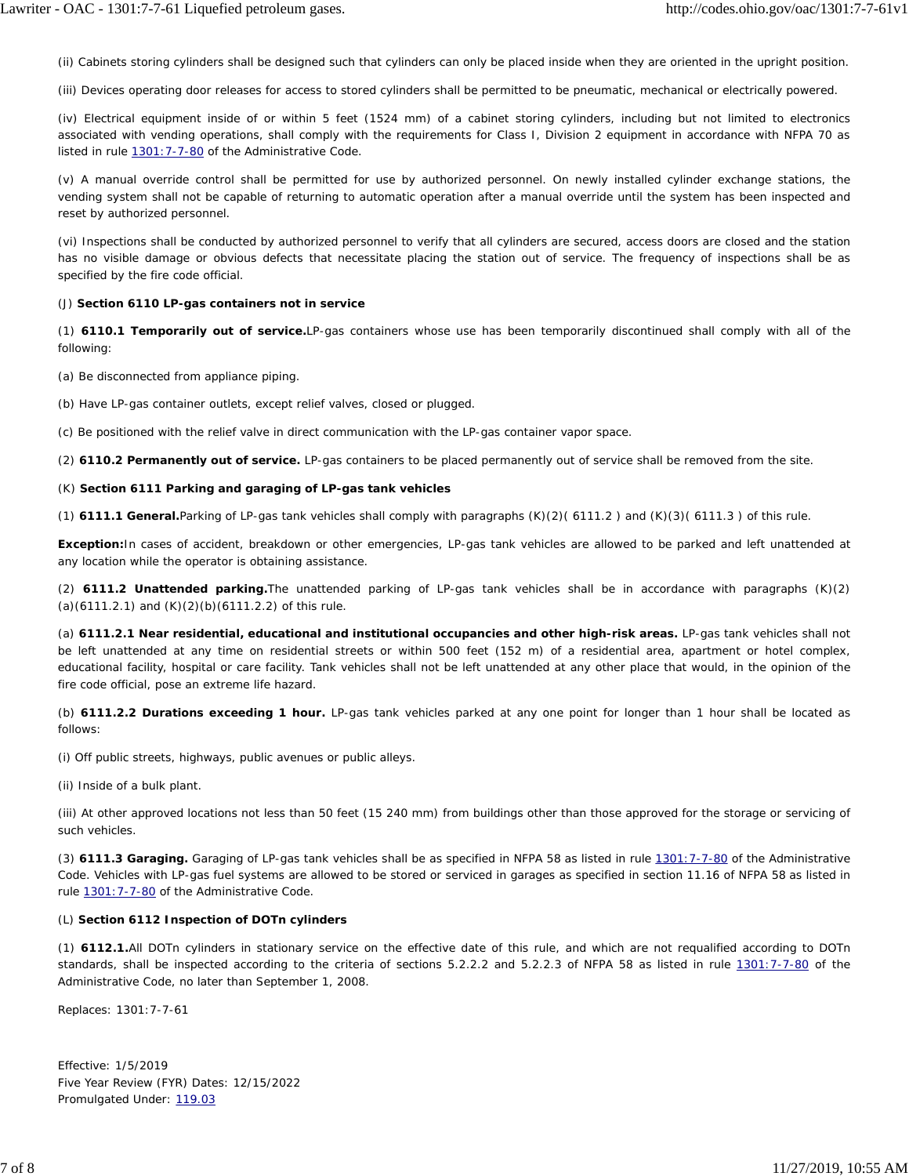(ii) Cabinets storing cylinders shall be designed such that cylinders can only be placed inside when they are oriented in the upright position.

(iii) Devices operating door releases for access to stored cylinders shall be permitted to be pneumatic, mechanical or electrically powered.

(iv) Electrical equipment inside of or within 5 feet (1524 mm) of a cabinet storing cylinders, including but not limited to electronics associated with vending operations, shall comply with the requirements for Class I, Division 2 equipment in accordance with NFPA 70 *as listed in rule 1301:7-7-80 of the Administrative Code.*

(v) A manual override control shall be permitted for use by authorized personnel. On newly installed cylinder exchange stations, the vending system shall not be capable of returning to automatic operation after a manual override until the system has been inspected and reset by authorized personnel.

(vi) Inspections shall be conducted by authorized personnel to verify that all cylinders are secured, access doors are closed and the station has no visible damage or obvious defects that necessitate placing the station out of service. The frequency of inspections shall be as specified by the fire code official.

#### (J) **Section 6110 LP-gas containers not in service**

(1) **6110.1 Temporarily out of service.**LP-gas containers whose use has been temporarily discontinued shall comply with all of the following:

(a) Be disconnected from appliance piping.

(b) Have LP-gas container outlets, except relief valves, closed or plugged.

(c) Be positioned with the relief valve in direct communication with the LP-gas container vapor space.

(2) **6110.2 Permanently out of service.** LP-gas containers to be placed permanently out of service shall be removed from the site.

#### (K) **Section 6111 Parking and garaging of LP-gas tank vehicles**

(1) **6111.1 General.**Parking of LP-gas tank vehicles shall comply with *paragraphs* (K)(2)( 6111.2 ) and (K)(3)( 6111.3 ) *of this rule.*

**Exception:**In cases of accident, breakdown or other emergencies, LP-gas tank vehicles are allowed to be parked and left unattended at any location while the operator is obtaining assistance.

(2) **6111.2 Unattended parking.**The unattended parking of LP-gas tank vehicles shall be in accordance with *paragraphs* (K)(2) (a)(6111.2.1) and (K)(2)(b)(6111.2.2) *of this rule.*

(a) **6111.2.1 Near residential, educational and institutional occupancies and other high-risk areas.** LP-gas tank vehicles shall not be left unattended at any time on residential streets or within 500 feet (152 m) of a residential area, apartment or hotel complex, educational facility, hospital or care facility. Tank vehicles shall not be left unattended at any other place that would, in the opinion of the fire code official, pose an extreme life hazard.

(b) **6111.2.2 Durations exceeding 1 hour.** LP-gas tank vehicles parked at any one point for longer than 1 hour shall be located as follows:

(i) Off public streets, highways, public avenues or public alleys.

(ii) Inside of a bulk plant.

(iii) At other approved locations not less than 50 feet (15 240 mm) from buildings other than those approved for the storage or servicing of such vehicles.

(3) **6111.3 Garaging.** Garaging of LP-gas tank vehicles shall be as specified in NFPA 58 *as listed in rule 1301:7-7-80 of the Administrative Code.* Vehicles with LP-gas fuel systems are allowed to be stored or serviced in garages as specified in section 11.16 of NFPA 58 *as listed in rule 1301:7-7-80 of the Administrative Code.*

# (L) *Section 6112 Inspection of DOTn cylinders*

(1) *6112.1.All DOTn cylinders in stationary service on the effective date of this rule, and which are not requalified according to DOTn standards, shall be inspected according to the criteria of sections 5.2.2.2 and 5.2.2.3 of NFPA 58 as listed in rule 1301:7-7-80 of the Administrative Code, no later than September 1, 2008.*

Replaces: 1301:7-7-61

Effective: 1/5/2019 Five Year Review (FYR) Dates: 12/15/2022 Promulgated Under: 119.03